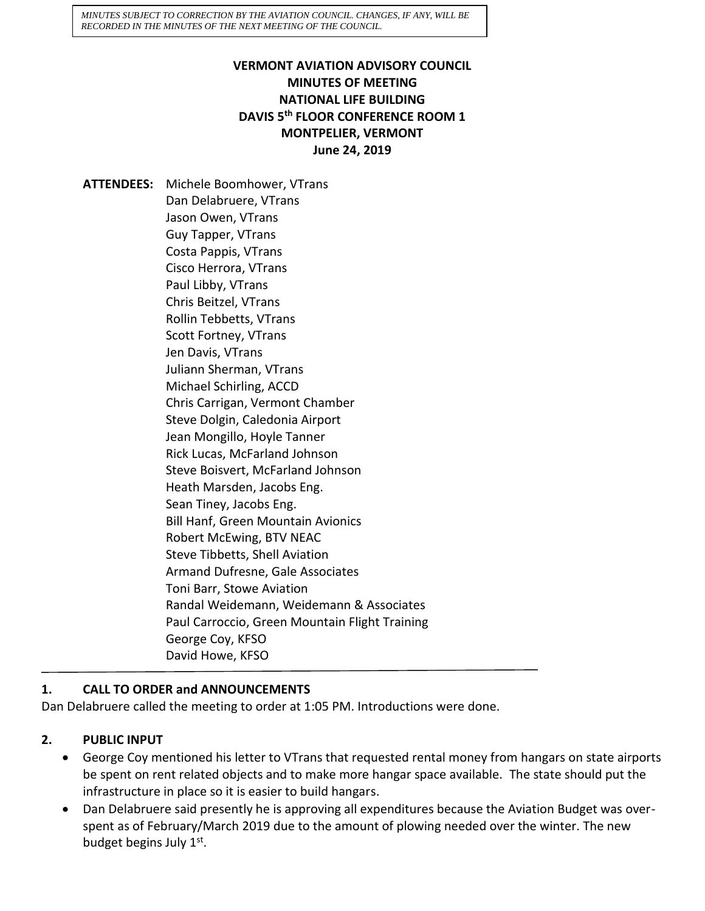*MINUTES SUBJECT TO CORRECTION BY THE AVIATION COUNCIL. CHANGES, IF ANY, WILL BE RECORDED IN THE MINUTES OF THE NEXT MEETING OF THE COUNCIL.*

### **VERMONT AVIATION ADVISORY COUNCIL MINUTES OF MEETING NATIONAL LIFE BUILDING DAVIS 5th FLOOR CONFERENCE ROOM 1 MONTPELIER, VERMONT June 24, 2019**

**ATTENDEES:** Michele Boomhower, VTrans Dan Delabruere, VTrans Jason Owen, VTrans Guy Tapper, VTrans Costa Pappis, VTrans Cisco Herrora, VTrans Paul Libby, VTrans Chris Beitzel, VTrans Rollin Tebbetts, VTrans Scott Fortney, VTrans Jen Davis, VTrans Juliann Sherman, VTrans Michael Schirling, ACCD Chris Carrigan, Vermont Chamber Steve Dolgin, Caledonia Airport Jean Mongillo, Hoyle Tanner Rick Lucas, McFarland Johnson Steve Boisvert, McFarland Johnson Heath Marsden, Jacobs Eng. Sean Tiney, Jacobs Eng. Bill Hanf, Green Mountain Avionics Robert McEwing, BTV NEAC Steve Tibbetts, Shell Aviation Armand Dufresne, Gale Associates Toni Barr, Stowe Aviation Randal Weidemann, Weidemann & Associates Paul Carroccio, Green Mountain Flight Training George Coy, KFSO David Howe, KFSO

# **1. CALL TO ORDER and ANNOUNCEMENTS**

Dan Delabruere called the meeting to order at 1:05 PM. Introductions were done.

### **2. PUBLIC INPUT**

- George Coy mentioned his letter to VTrans that requested rental money from hangars on state airports be spent on rent related objects and to make more hangar space available. The state should put the infrastructure in place so it is easier to build hangars.
- Dan Delabruere said presently he is approving all expenditures because the Aviation Budget was overspent as of February/March 2019 due to the amount of plowing needed over the winter. The new budget begins July 1st.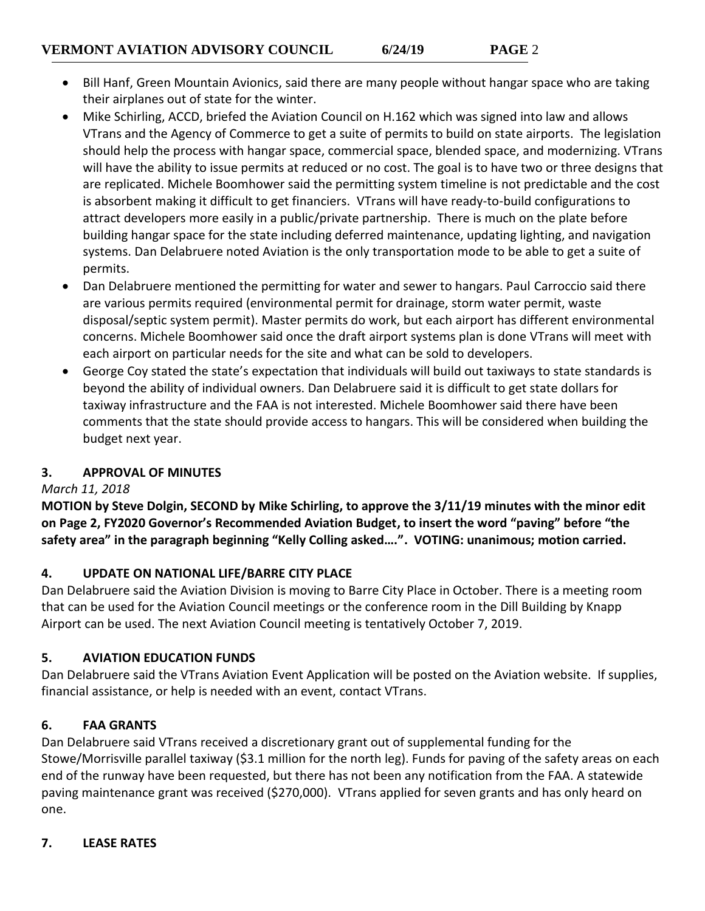- Bill Hanf, Green Mountain Avionics, said there are many people without hangar space who are taking their airplanes out of state for the winter.
- Mike Schirling, ACCD, briefed the Aviation Council on H.162 which was signed into law and allows VTrans and the Agency of Commerce to get a suite of permits to build on state airports. The legislation should help the process with hangar space, commercial space, blended space, and modernizing. VTrans will have the ability to issue permits at reduced or no cost. The goal is to have two or three designs that are replicated. Michele Boomhower said the permitting system timeline is not predictable and the cost is absorbent making it difficult to get financiers. VTrans will have ready-to-build configurations to attract developers more easily in a public/private partnership. There is much on the plate before building hangar space for the state including deferred maintenance, updating lighting, and navigation systems. Dan Delabruere noted Aviation is the only transportation mode to be able to get a suite of permits.
- Dan Delabruere mentioned the permitting for water and sewer to hangars. Paul Carroccio said there are various permits required (environmental permit for drainage, storm water permit, waste disposal/septic system permit). Master permits do work, but each airport has different environmental concerns. Michele Boomhower said once the draft airport systems plan is done VTrans will meet with each airport on particular needs for the site and what can be sold to developers.
- George Coy stated the state's expectation that individuals will build out taxiways to state standards is beyond the ability of individual owners. Dan Delabruere said it is difficult to get state dollars for taxiway infrastructure and the FAA is not interested. Michele Boomhower said there have been comments that the state should provide access to hangars. This will be considered when building the budget next year.

### **3. APPROVAL OF MINUTES**

# *March 11, 2018*

**MOTION by Steve Dolgin, SECOND by Mike Schirling, to approve the 3/11/19 minutes with the minor edit on Page 2, FY2020 Governor's Recommended Aviation Budget, to insert the word "paving" before "the safety area" in the paragraph beginning "Kelly Colling asked….". VOTING: unanimous; motion carried.**

# **4. UPDATE ON NATIONAL LIFE/BARRE CITY PLACE**

Dan Delabruere said the Aviation Division is moving to Barre City Place in October. There is a meeting room that can be used for the Aviation Council meetings or the conference room in the Dill Building by Knapp Airport can be used. The next Aviation Council meeting is tentatively October 7, 2019.

# **5. AVIATION EDUCATION FUNDS**

Dan Delabruere said the VTrans Aviation Event Application will be posted on the Aviation website. If supplies, financial assistance, or help is needed with an event, contact VTrans.

# **6. FAA GRANTS**

Dan Delabruere said VTrans received a discretionary grant out of supplemental funding for the Stowe/Morrisville parallel taxiway (\$3.1 million for the north leg). Funds for paving of the safety areas on each end of the runway have been requested, but there has not been any notification from the FAA. A statewide paving maintenance grant was received (\$270,000). VTrans applied for seven grants and has only heard on one.

### **7. LEASE RATES**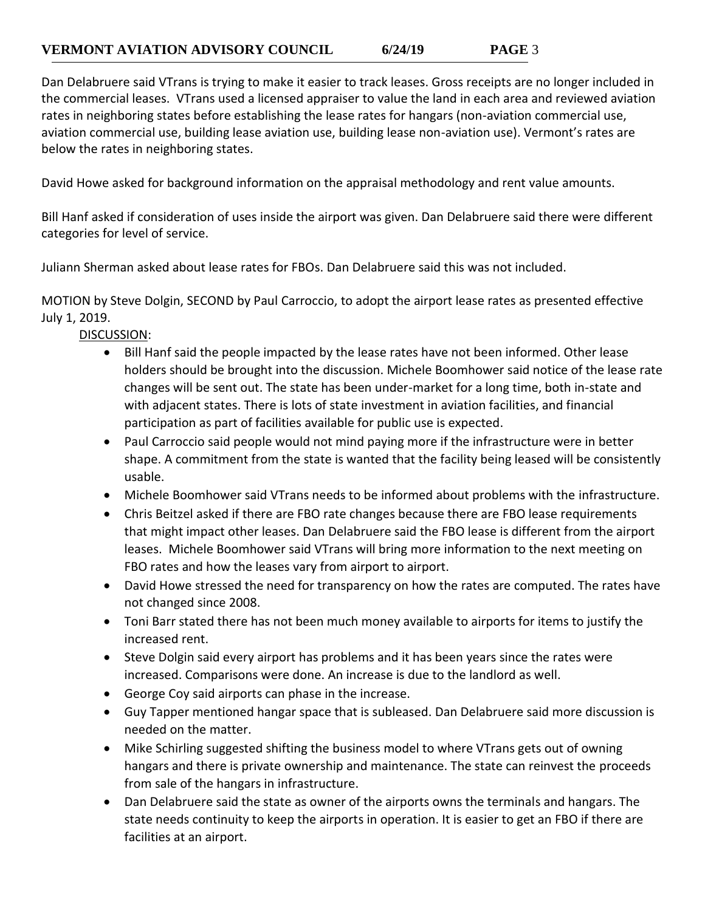Dan Delabruere said VTrans is trying to make it easier to track leases. Gross receipts are no longer included in the commercial leases. VTrans used a licensed appraiser to value the land in each area and reviewed aviation rates in neighboring states before establishing the lease rates for hangars (non-aviation commercial use, aviation commercial use, building lease aviation use, building lease non-aviation use). Vermont's rates are below the rates in neighboring states.

David Howe asked for background information on the appraisal methodology and rent value amounts.

Bill Hanf asked if consideration of uses inside the airport was given. Dan Delabruere said there were different categories for level of service.

Juliann Sherman asked about lease rates for FBOs. Dan Delabruere said this was not included.

MOTION by Steve Dolgin, SECOND by Paul Carroccio, to adopt the airport lease rates as presented effective July 1, 2019.

DISCUSSION:

- Bill Hanf said the people impacted by the lease rates have not been informed. Other lease holders should be brought into the discussion. Michele Boomhower said notice of the lease rate changes will be sent out. The state has been under-market for a long time, both in-state and with adjacent states. There is lots of state investment in aviation facilities, and financial participation as part of facilities available for public use is expected.
- Paul Carroccio said people would not mind paying more if the infrastructure were in better shape. A commitment from the state is wanted that the facility being leased will be consistently usable.
- Michele Boomhower said VTrans needs to be informed about problems with the infrastructure.
- Chris Beitzel asked if there are FBO rate changes because there are FBO lease requirements that might impact other leases. Dan Delabruere said the FBO lease is different from the airport leases. Michele Boomhower said VTrans will bring more information to the next meeting on FBO rates and how the leases vary from airport to airport.
- David Howe stressed the need for transparency on how the rates are computed. The rates have not changed since 2008.
- Toni Barr stated there has not been much money available to airports for items to justify the increased rent.
- Steve Dolgin said every airport has problems and it has been years since the rates were increased. Comparisons were done. An increase is due to the landlord as well.
- George Coy said airports can phase in the increase.
- Guy Tapper mentioned hangar space that is subleased. Dan Delabruere said more discussion is needed on the matter.
- Mike Schirling suggested shifting the business model to where VTrans gets out of owning hangars and there is private ownership and maintenance. The state can reinvest the proceeds from sale of the hangars in infrastructure.
- Dan Delabruere said the state as owner of the airports owns the terminals and hangars. The state needs continuity to keep the airports in operation. It is easier to get an FBO if there are facilities at an airport.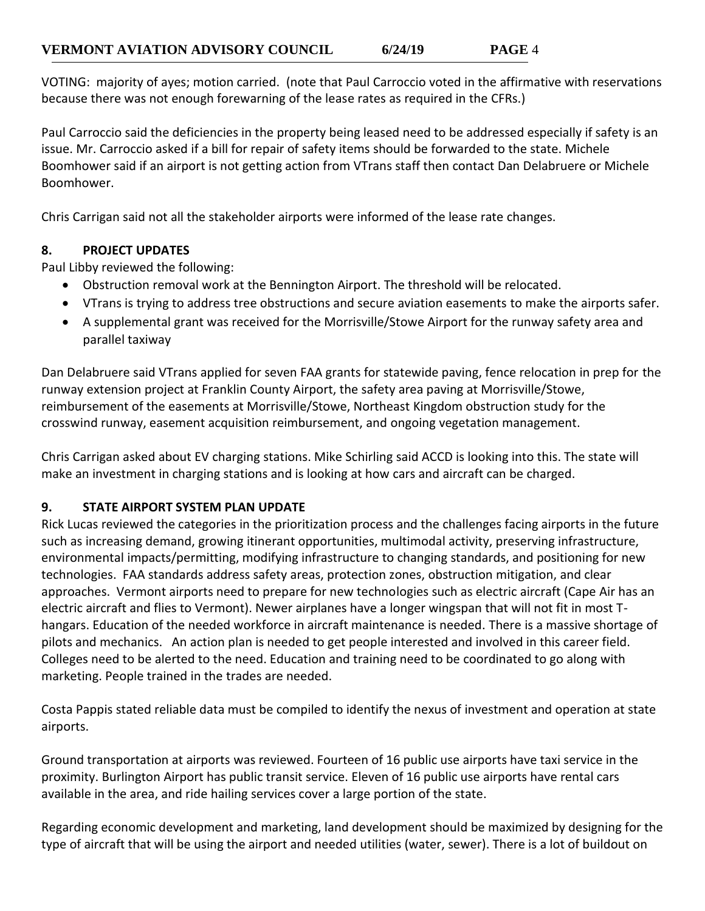VOTING: majority of ayes; motion carried. (note that Paul Carroccio voted in the affirmative with reservations because there was not enough forewarning of the lease rates as required in the CFRs.)

Paul Carroccio said the deficiencies in the property being leased need to be addressed especially if safety is an issue. Mr. Carroccio asked if a bill for repair of safety items should be forwarded to the state. Michele Boomhower said if an airport is not getting action from VTrans staff then contact Dan Delabruere or Michele Boomhower.

Chris Carrigan said not all the stakeholder airports were informed of the lease rate changes.

### **8. PROJECT UPDATES**

Paul Libby reviewed the following:

- Obstruction removal work at the Bennington Airport. The threshold will be relocated.
- VTrans is trying to address tree obstructions and secure aviation easements to make the airports safer.
- A supplemental grant was received for the Morrisville/Stowe Airport for the runway safety area and parallel taxiway

Dan Delabruere said VTrans applied for seven FAA grants for statewide paving, fence relocation in prep for the runway extension project at Franklin County Airport, the safety area paving at Morrisville/Stowe, reimbursement of the easements at Morrisville/Stowe, Northeast Kingdom obstruction study for the crosswind runway, easement acquisition reimbursement, and ongoing vegetation management.

Chris Carrigan asked about EV charging stations. Mike Schirling said ACCD is looking into this. The state will make an investment in charging stations and is looking at how cars and aircraft can be charged.

### **9. STATE AIRPORT SYSTEM PLAN UPDATE**

Rick Lucas reviewed the categories in the prioritization process and the challenges facing airports in the future such as increasing demand, growing itinerant opportunities, multimodal activity, preserving infrastructure, environmental impacts/permitting, modifying infrastructure to changing standards, and positioning for new technologies. FAA standards address safety areas, protection zones, obstruction mitigation, and clear approaches. Vermont airports need to prepare for new technologies such as electric aircraft (Cape Air has an electric aircraft and flies to Vermont). Newer airplanes have a longer wingspan that will not fit in most Thangars. Education of the needed workforce in aircraft maintenance is needed. There is a massive shortage of pilots and mechanics. An action plan is needed to get people interested and involved in this career field. Colleges need to be alerted to the need. Education and training need to be coordinated to go along with marketing. People trained in the trades are needed.

Costa Pappis stated reliable data must be compiled to identify the nexus of investment and operation at state airports.

Ground transportation at airports was reviewed. Fourteen of 16 public use airports have taxi service in the proximity. Burlington Airport has public transit service. Eleven of 16 public use airports have rental cars available in the area, and ride hailing services cover a large portion of the state.

Regarding economic development and marketing, land development should be maximized by designing for the type of aircraft that will be using the airport and needed utilities (water, sewer). There is a lot of buildout on